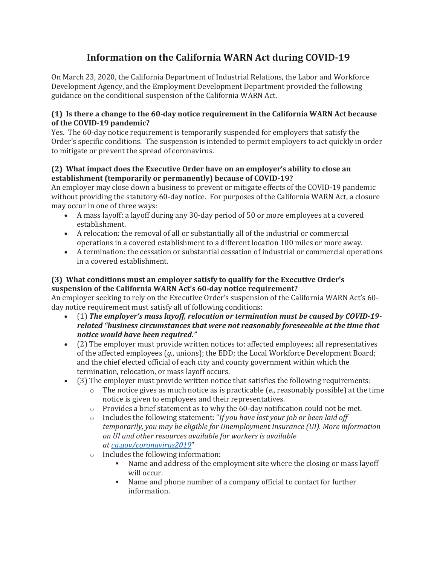# **Information on the California WARN Act during COVID-19**

On March 23, 2020, the California Department of Industrial Relations, the Labor and Workforce Development Agency, and the Employment Development Department provided the following guidance on the conditional suspension of the California WARN Act.

#### **(1) Is there a change to the 60-day notice requirement in the California WARN Act because of the COVID-19 pandemic?**

Yes. The 60-day notice requirement is temporarily suspended for employers that satisfy the Order's specific conditions. The suspension is intended to permit employers to act quickly in order to mitigate or prevent the spread of coronavirus.

## **(2) What impact does the Executive Order have on an employer's ability to close an establishment (temporarily or permanently) because of COVID-19?**

An employer may close down a business to prevent or mitigate effects of the COVID-19 pandemic without providing the statutory 60-day notice. For purposes of the California WARN Act, a closure may occur in one of three ways:

- A mass layoff: a layoff during any 30-day period of 50 or more employees at a covered establishment.
- A relocation: the removal of all or substantially all of the industrial or commercial operations in a covered establishment to a different location 100 miles or more away.
- A termination: the cessation or substantial cessation of industrial or commercial operations in a covered establishment.

## **(3) What conditions must an employer satisfy to qualify for the Executive Order's suspension of the California WARN Act's 60-day notice requirement?**

An employer seeking to rely on the Executive Order's suspension of the California WARN Act's 60 day notice requirement must satisfy all of following conditions:

- (1) *The employer's mass layoff, relocation or termination must be caused by COVID-19 related "business circumstances that were not reasonably foreseeable at the time that notice would have been required."*
- (2) The employer must provide written notices to: affected employees; all representatives of the affected employees (*g.*, unions); the EDD; the Local Workforce Development Board; and the chief elected official of each city and county government within which the termination, relocation, or mass layoff occurs.
- (3) The employer must provide written notice that satisfies the following requirements:
	- o The notice gives as much notice as is practicable (*e.*, reasonably possible) at the time notice is given to employees and their representatives.
	- $\circ$  Provides a brief statement as to why the 60-day notification could not be met.
	- o Includes the following statement: "*If you have lost your job or been laid off temporarily, you may be eligible for Unemployment Insurance (UI). More information on UI and other resources available for workers is available at [ca.gov/coronavirus2019](https://www.labor.ca.gov/coronavirus2019/)*"
	- o Includes the following information:
		- Name and address of the employment site where the closing or mass layoff will occur.
		- Name and phone number of a company official to contact for further information.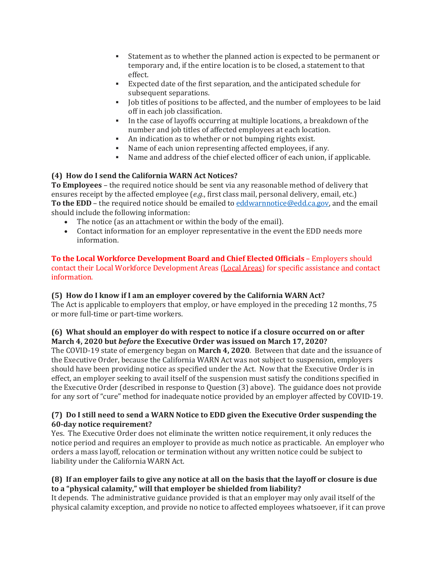- Statement as to whether the planned action is expected to be permanent or temporary and, if the entire location is to be closed, a statement to that effect.
- Expected date of the first separation, and the anticipated schedule for subsequent separations.
- Job titles of positions to be affected, and the number of employees to be laid off in each job classification.
- In the case of layoffs occurring at multiple locations, a breakdown of the number and job titles of affected employees at each location.
- An indication as to whether or not bumping rights exist.
- Name of each union representing affected employees, if any.
- Name and address of the chief elected officer of each union, if applicable.

## **(4) How do I send the California WARN Act Notices?**

**To Employees** – the required notice should be sent via any reasonable method of delivery that ensures receipt by the affected employee (*e.g.*, first class mail, personal delivery, email, etc.) **To the EDD** – the required notice should be emailed to [eddwarnnotice@edd.ca.gov,](mailto:eddwarnnotice@edd.ca.gov) and the email should include the following information:

- The notice (as an attachment or within the body of the email).
- Contact information for an employer representative in the event the EDD needs more information.

## **To the Local Workforce Development Board and Chief Elected Officials** – Employers should contact their Local Workforce Development Areas (Local [Areas\)](https://www.edd.ca.gov/Jobs_and_Training/Local_Area_Listing_by_County.htm) for specific assistance and contact information.

## **(5) How do I know if I am an employer covered by the California WARN Act?**

The Act is applicable to employers that employ, or have employed in the preceding 12 months, 75 or more full-time or part-time workers.

## **(6) What should an employer do with respect to notice if a closure occurred on or after March 4, 2020 but** *before* **the Executive Order was issued on March 17, 2020?**

The COVID-19 state of emergency began on **March 4, 2020**. Between that date and the issuance of the Executive Order, because the California WARN Act was not subject to suspension, employers should have been providing notice as specified under the Act. Now that the Executive Order is in effect, an employer seeking to avail itself of the suspension must satisfy the conditions specified in the Executive Order (described in response to Question (3) above). The guidance does not provide for any sort of "cure" method for inadequate notice provided by an employer affected by COVID-19.

## **(7) Do I still need to send a WARN Notice to EDD given the Executive Order suspending the 60-day notice requirement?**

Yes. The Executive Order does not eliminate the written notice requirement, it only reduces the notice period and requires an employer to provide as much notice as practicable. An employer who orders a mass layoff, relocation or termination without any written notice could be subject to liability under the California WARN Act.

## (8) If an employer fails to give any notice at all on the basis that the layoff or closure is due **to a "physical calamity," will that employer be shielded from liability?**

It depends. The administrative guidance provided is that an employer may only avail itself of the physical calamity exception, and provide no notice to affected employees whatsoever, if it can prove